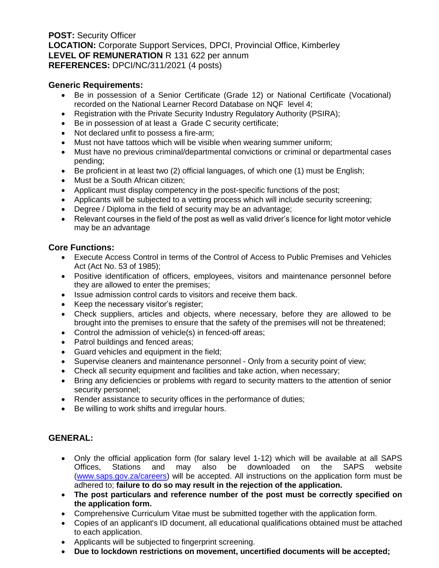**POST:** Security Officer **LOCATION:** Corporate Support Services, DPCI, Provincial Office, Kimberley **LEVEL OF REMUNERATION** R 131 622 per annum **REFERENCES:** DPCI/NC/311/2021 (4 posts)

#### **Generic Requirements:**

- Be in possession of a Senior Certificate (Grade 12) or National Certificate (Vocational) recorded on the National Learner Record Database on NQF level 4;
- Registration with the Private Security Industry Regulatory Authority (PSIRA);
- Be in possession of at least a Grade C security certificate;
- Not declared unfit to possess a fire-arm;
- Must not have tattoos which will be visible when wearing summer uniform;
- Must have no previous criminal/departmental convictions or criminal or departmental cases pending;
- Be proficient in at least two (2) official languages, of which one (1) must be English;
- Must be a South African citizen;
- Applicant must display competency in the post-specific functions of the post;
- Applicants will be subjected to a vetting process which will include security screening;
- Degree / Diploma in the field of security may be an advantage;
- Relevant courses in the field of the post as well as valid driver's licence for light motor vehicle may be an advantage

# **Core Functions:**

- Execute Access Control in terms of the Control of Access to Public Premises and Vehicles Act (Act No. 53 of 1985);
- Positive identification of officers, employees, visitors and maintenance personnel before they are allowed to enter the premises;
- Issue admission control cards to visitors and receive them back.
- Keep the necessary visitor's register;
- Check suppliers, articles and objects, where necessary, before they are allowed to be brought into the premises to ensure that the safety of the premises will not be threatened;
- Control the admission of vehicle(s) in fenced-off areas;
- Patrol buildings and fenced areas;
- Guard vehicles and equipment in the field;
- Supervise cleaners and maintenance personnel Only from a security point of view;
- Check all security equipment and facilities and take action, when necessary;
- Bring any deficiencies or problems with regard to security matters to the attention of senior security personnel;
- Render assistance to security offices in the performance of duties;
- Be willing to work shifts and irregular hours.

# **GENERAL:**

- Only the official application form (for salary level 1-12) which will be available at all SAPS Offices, Stations and may also be downloaded on the SAPS website [\(www.saps.gov.za/careers\)](http://www.saps.gov.za/careers) will be accepted. All instructions on the application form must be adhered to; **failure to do so may result in the rejection of the application.**
- **The post particulars and reference number of the post must be correctly specified on the application form.**
- Comprehensive Curriculum Vitae must be submitted together with the application form.
- Copies of an applicant's ID document, all educational qualifications obtained must be attached to each application.
- Applicants will be subjected to fingerprint screening.
- **Due to lockdown restrictions on movement, uncertified documents will be accepted;**